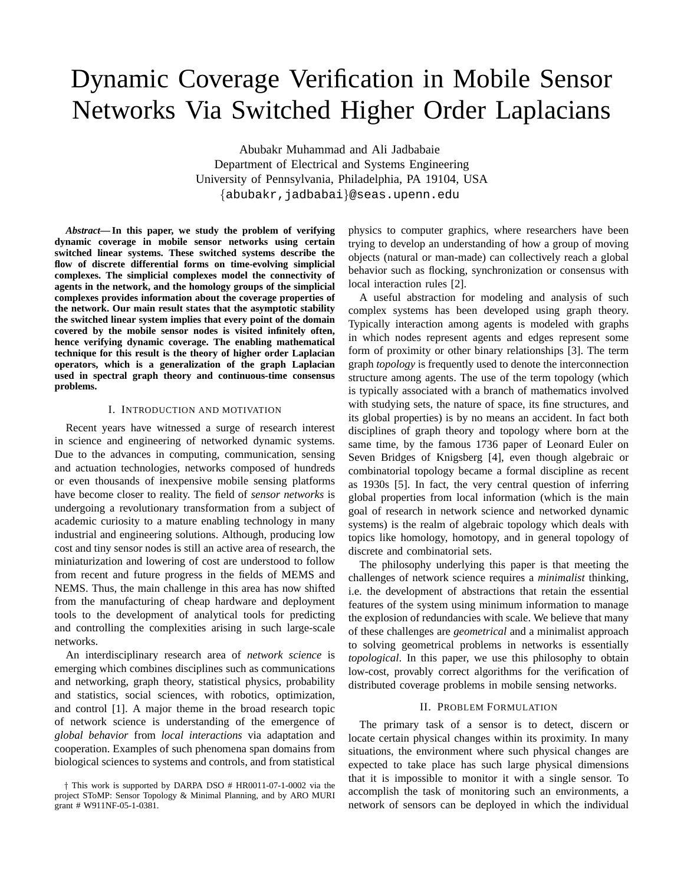# Dynamic Coverage Verification in Mobile Sensor Networks Via Switched Higher Order Laplacians

Abubakr Muhammad and Ali Jadbabaie Department of Electrical and Systems Engineering University of Pennsylvania, Philadelphia, PA 19104, USA {abubakr,jadbabai}@seas.upenn.edu

*Abstract***— In this paper, we study the problem of verifying dynamic coverage in mobile sensor networks using certain switched linear systems. These switched systems describe the flow of discrete differential forms on time-evolving simplicial complexes. The simplicial complexes model the connectivity of agents in the network, and the homology groups of the simplicial complexes provides information about the coverage properties of the network. Our main result states that the asymptotic stability the switched linear system implies that every point of the domain covered by the mobile sensor nodes is visited infinitely often, hence verifying dynamic coverage. The enabling mathematical technique for this result is the theory of higher order Laplacian operators, which is a generalization of the graph Laplacian used in spectral graph theory and continuous-time consensus problems.**

#### I. INTRODUCTION AND MOTIVATION

Recent years have witnessed a surge of research interest in science and engineering of networked dynamic systems. Due to the advances in computing, communication, sensing and actuation technologies, networks composed of hundreds or even thousands of inexpensive mobile sensing platforms have become closer to reality. The field of *sensor networks* is undergoing a revolutionary transformation from a subject of academic curiosity to a mature enabling technology in many industrial and engineering solutions. Although, producing low cost and tiny sensor nodes is still an active area of research, the miniaturization and lowering of cost are understood to follow from recent and future progress in the fields of MEMS and NEMS. Thus, the main challenge in this area has now shifted from the manufacturing of cheap hardware and deployment tools to the development of analytical tools for predicting and controlling the complexities arising in such large-scale networks.

An interdisciplinary research area of *network science* is emerging which combines disciplines such as communications and networking, graph theory, statistical physics, probability and statistics, social sciences, with robotics, optimization, and control [1]. A major theme in the broad research topic of network science is understanding of the emergence of *global behavior* from *local interactions* via adaptation and cooperation. Examples of such phenomena span domains from biological sciences to systems and controls, and from statistical

physics to computer graphics, where researchers have been trying to develop an understanding of how a group of moving objects (natural or man-made) can collectively reach a global behavior such as flocking, synchronization or consensus with local interaction rules [2].

A useful abstraction for modeling and analysis of such complex systems has been developed using graph theory. Typically interaction among agents is modeled with graphs in which nodes represent agents and edges represent some form of proximity or other binary relationships [3]. The term graph *topology* is frequently used to denote the interconnection structure among agents. The use of the term topology (which is typically associated with a branch of mathematics involved with studying sets, the nature of space, its fine structures, and its global properties) is by no means an accident. In fact both disciplines of graph theory and topology where born at the same time, by the famous 1736 paper of Leonard Euler on Seven Bridges of Knigsberg [4], even though algebraic or combinatorial topology became a formal discipline as recent as 1930s [5]. In fact, the very central question of inferring global properties from local information (which is the main goal of research in network science and networked dynamic systems) is the realm of algebraic topology which deals with topics like homology, homotopy, and in general topology of discrete and combinatorial sets.

The philosophy underlying this paper is that meeting the challenges of network science requires a *minimalist* thinking, i.e. the development of abstractions that retain the essential features of the system using minimum information to manage the explosion of redundancies with scale. We believe that many of these challenges are *geometrical* and a minimalist approach to solving geometrical problems in networks is essentially *topological*. In this paper, we use this philosophy to obtain low-cost, provably correct algorithms for the verification of distributed coverage problems in mobile sensing networks.

#### II. PROBLEM FORMULATION

The primary task of a sensor is to detect, discern or locate certain physical changes within its proximity. In many situations, the environment where such physical changes are expected to take place has such large physical dimensions that it is impossible to monitor it with a single sensor. To accomplish the task of monitoring such an environments, a network of sensors can be deployed in which the individual

<sup>†</sup> This work is supported by DARPA DSO # HR0011-07-1-0002 via the project SToMP: Sensor Topology & Minimal Planning, and by ARO MURI grant # W911NF-05-1-0381.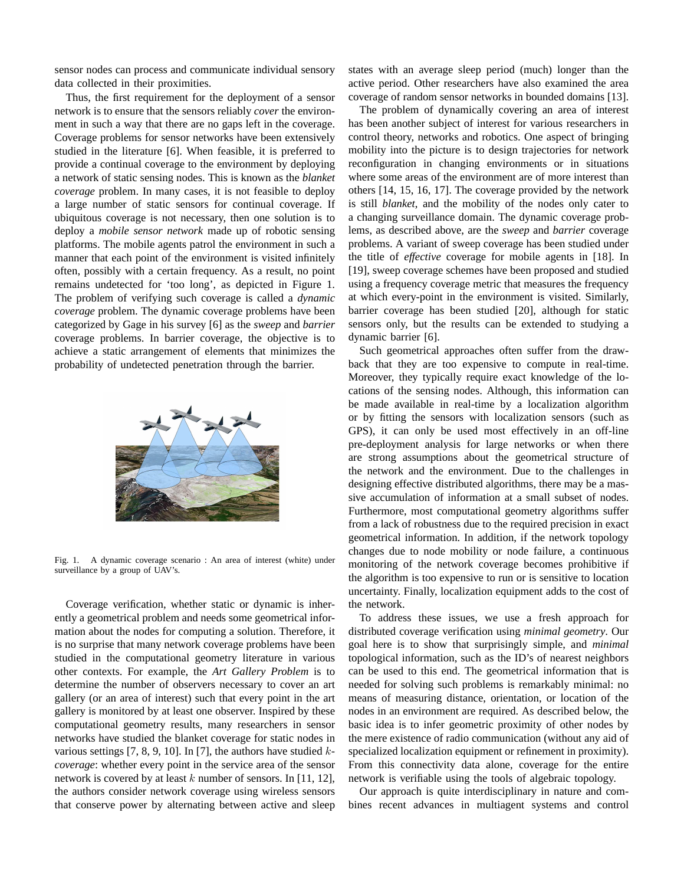sensor nodes can process and communicate individual sensory data collected in their proximities.

Thus, the first requirement for the deployment of a sensor network is to ensure that the sensors reliably *cover* the environment in such a way that there are no gaps left in the coverage. Coverage problems for sensor networks have been extensively studied in the literature [6]. When feasible, it is preferred to provide a continual coverage to the environment by deploying a network of static sensing nodes. This is known as the *blanket coverage* problem. In many cases, it is not feasible to deploy a large number of static sensors for continual coverage. If ubiquitous coverage is not necessary, then one solution is to deploy a *mobile sensor network* made up of robotic sensing platforms. The mobile agents patrol the environment in such a manner that each point of the environment is visited infinitely often, possibly with a certain frequency. As a result, no point remains undetected for 'too long', as depicted in Figure 1. The problem of verifying such coverage is called a *dynamic coverage* problem. The dynamic coverage problems have been categorized by Gage in his survey [6] as the *sweep* and *barrier* coverage problems. In barrier coverage, the objective is to achieve a static arrangement of elements that minimizes the probability of undetected penetration through the barrier.



Fig. 1. A dynamic coverage scenario : An area of interest (white) under surveillance by a group of UAV's.

Coverage verification, whether static or dynamic is inherently a geometrical problem and needs some geometrical information about the nodes for computing a solution. Therefore, it is no surprise that many network coverage problems have been studied in the computational geometry literature in various other contexts. For example, the *Art Gallery Problem* is to determine the number of observers necessary to cover an art gallery (or an area of interest) such that every point in the art gallery is monitored by at least one observer. Inspired by these computational geometry results, many researchers in sensor networks have studied the blanket coverage for static nodes in various settings [7, 8, 9, 10]. In [7], the authors have studied k*coverage*: whether every point in the service area of the sensor network is covered by at least k number of sensors. In [11, 12], the authors consider network coverage using wireless sensors that conserve power by alternating between active and sleep states with an average sleep period (much) longer than the active period. Other researchers have also examined the area coverage of random sensor networks in bounded domains [13].

The problem of dynamically covering an area of interest has been another subject of interest for various researchers in control theory, networks and robotics. One aspect of bringing mobility into the picture is to design trajectories for network reconfiguration in changing environments or in situations where some areas of the environment are of more interest than others [14, 15, 16, 17]. The coverage provided by the network is still *blanket*, and the mobility of the nodes only cater to a changing surveillance domain. The dynamic coverage problems, as described above, are the *sweep* and *barrier* coverage problems. A variant of sweep coverage has been studied under the title of *effective* coverage for mobile agents in [18]. In [19], sweep coverage schemes have been proposed and studied using a frequency coverage metric that measures the frequency at which every-point in the environment is visited. Similarly, barrier coverage has been studied [20], although for static sensors only, but the results can be extended to studying a dynamic barrier [6].

Such geometrical approaches often suffer from the drawback that they are too expensive to compute in real-time. Moreover, they typically require exact knowledge of the locations of the sensing nodes. Although, this information can be made available in real-time by a localization algorithm or by fitting the sensors with localization sensors (such as GPS), it can only be used most effectively in an off-line pre-deployment analysis for large networks or when there are strong assumptions about the geometrical structure of the network and the environment. Due to the challenges in designing effective distributed algorithms, there may be a massive accumulation of information at a small subset of nodes. Furthermore, most computational geometry algorithms suffer from a lack of robustness due to the required precision in exact geometrical information. In addition, if the network topology changes due to node mobility or node failure, a continuous monitoring of the network coverage becomes prohibitive if the algorithm is too expensive to run or is sensitive to location uncertainty. Finally, localization equipment adds to the cost of the network.

To address these issues, we use a fresh approach for distributed coverage verification using *minimal geometry*. Our goal here is to show that surprisingly simple, and *minimal* topological information, such as the ID's of nearest neighbors can be used to this end. The geometrical information that is needed for solving such problems is remarkably minimal: no means of measuring distance, orientation, or location of the nodes in an environment are required. As described below, the basic idea is to infer geometric proximity of other nodes by the mere existence of radio communication (without any aid of specialized localization equipment or refinement in proximity). From this connectivity data alone, coverage for the entire network is verifiable using the tools of algebraic topology.

Our approach is quite interdisciplinary in nature and combines recent advances in multiagent systems and control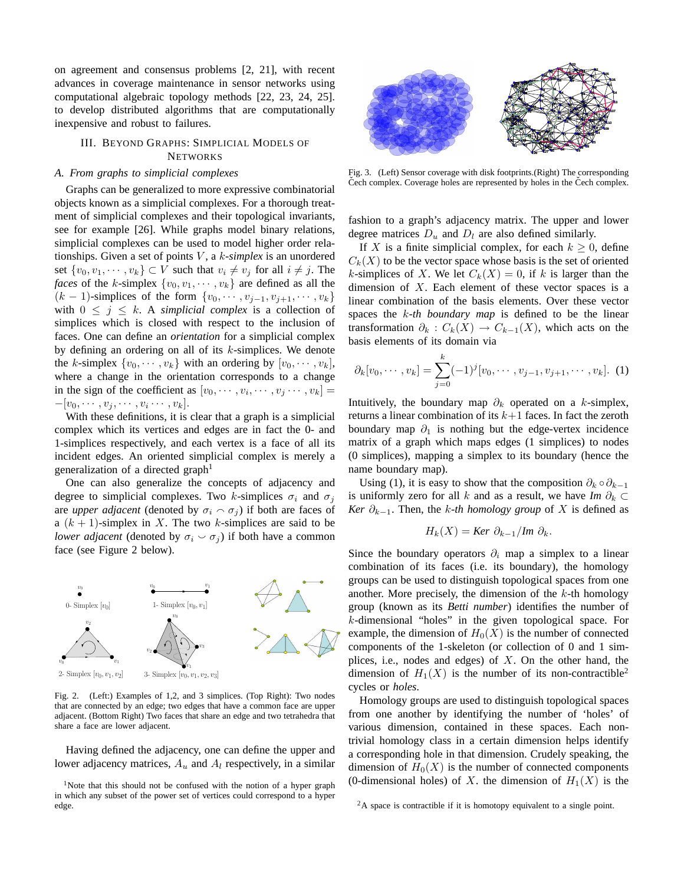on agreement and consensus problems [2, 21], with recent advances in coverage maintenance in sensor networks using computational algebraic topology methods [22, 23, 24, 25]. to develop distributed algorithms that are computationally inexpensive and robust to failures.

# III. BEYOND GRAPHS: SIMPLICIAL MODELS OF **NETWORKS**

## *A. From graphs to simplicial complexes*

Graphs can be generalized to more expressive combinatorial objects known as a simplicial complexes. For a thorough treatment of simplicial complexes and their topological invariants, see for example [26]. While graphs model binary relations, simplicial complexes can be used to model higher order relationships. Given a set of points  $V$ , a  $k$ -simplex is an unordered set  $\{v_0, v_1, \dots, v_k\} \subset V$  such that  $v_i \neq v_j$  for all  $i \neq j$ . The *faces* of the k-simplex  $\{v_0, v_1, \dots, v_k\}$  are defined as all the  $(k-1)$ -simplices of the form  $\{v_0, \dots, v_{i-1}, v_{i+1}, \dots, v_k\}$ with  $0 \leq j \leq k$ . A *simplicial complex* is a collection of simplices which is closed with respect to the inclusion of faces. One can define an *orientation* for a simplicial complex by defining an ordering on all of its  $k$ -simplices. We denote the k-simplex  $\{v_0, \dots, v_k\}$  with an ordering by  $[v_0, \dots, v_k]$ , where a change in the orientation corresponds to a change in the sign of the coefficient as  $[v_0, \dots, v_i, \dots, v_j \dots, v_k] =$  $-[v_0, \cdots, v_j, \cdots, v_i \cdots, v_k].$ 

With these definitions, it is clear that a graph is a simplicial complex which its vertices and edges are in fact the 0- and 1-simplices respectively, and each vertex is a face of all its incident edges. An oriented simplicial complex is merely a generalization of a directed graph<sup>1</sup>

One can also generalize the concepts of adjacency and degree to simplicial complexes. Two k-simplices  $\sigma_i$  and  $\sigma_j$ are *upper adjacent* (denoted by  $\sigma_i \sim \sigma_j$ ) if both are faces of a  $(k + 1)$ -simplex in X. The two k-simplices are said to be *lower adjacent* (denoted by  $\sigma_i \sim \sigma_j$ ) if both have a common face (see Figure 2 below).



Fig. 2. (Left:) Examples of 1,2, and 3 simplices. (Top Right): Two nodes that are connected by an edge; two edges that have a common face are upper adjacent. (Bottom Right) Two faces that share an edge and two tetrahedra that share a face are lower adjacent.

Having defined the adjacency, one can define the upper and lower adjacency matrices,  $A_u$  and  $A_l$  respectively, in a similar



Fig. 3. (Left) Sensor coverage with disk footprints.(Right) The corresponding Čech complex. Coverage holes are represented by holes in the Čech complex.

fashion to a graph's adjacency matrix. The upper and lower degree matrices  $D_u$  and  $D_l$  are also defined similarly.

If X is a finite simplicial complex, for each  $k \geq 0$ , define  $C_k(X)$  to be the vector space whose basis is the set of oriented k-simplices of X. We let  $C_k(X) = 0$ , if k is larger than the dimension of  $X$ . Each element of these vector spaces is a linear combination of the basis elements. Over these vector spaces the k*-th boundary map* is defined to be the linear transformation  $\partial_k : C_k(X) \to C_{k-1}(X)$ , which acts on the basis elements of its domain via

$$
\partial_k[v_0, \cdots, v_k] = \sum_{j=0}^k (-1)^j [v_0, \cdots, v_{j-1}, v_{j+1}, \cdots, v_k]. \tag{1}
$$

Intuitively, the boundary map  $\partial_k$  operated on a k-simplex, returns a linear combination of its  $k+1$  faces. In fact the zeroth boundary map  $\partial_1$  is nothing but the edge-vertex incidence matrix of a graph which maps edges (1 simplices) to nodes (0 simplices), mapping a simplex to its boundary (hence the name boundary map).

Using (1), it is easy to show that the composition  $\partial_k \circ \partial_{k-1}$ is uniformly zero for all k and as a result, we have *Im*  $\partial_k \subset$ *Ker*  $\partial_{k-1}$ . Then, the *k-th homology group* of X is defined as

$$
H_k(X) = \text{Ker }\partial_{k-1}/\text{Im }\partial_k.
$$

Since the boundary operators  $\partial_i$  map a simplex to a linear combination of its faces (i.e. its boundary), the homology groups can be used to distinguish topological spaces from one another. More precisely, the dimension of the  $k$ -th homology group (known as its *Betti number*) identifies the number of k-dimensional "holes" in the given topological space. For example, the dimension of  $H_0(X)$  is the number of connected components of the 1-skeleton (or collection of 0 and 1 simplices, i.e., nodes and edges) of  $X$ . On the other hand, the dimension of  $H_1(X)$  is the number of its non-contractible<sup>2</sup> cycles or *holes*.

Homology groups are used to distinguish topological spaces from one another by identifying the number of 'holes' of various dimension, contained in these spaces. Each nontrivial homology class in a certain dimension helps identify a corresponding hole in that dimension. Crudely speaking, the dimension of  $H_0(X)$  is the number of connected components (0-dimensional holes) of X. the dimension of  $H_1(X)$  is the

<sup>&</sup>lt;sup>1</sup>Note that this should not be confused with the notion of a hyper graph in which any subset of the power set of vertices could correspond to a hyper edge.

 ${}^{2}$ A space is contractible if it is homotopy equivalent to a single point.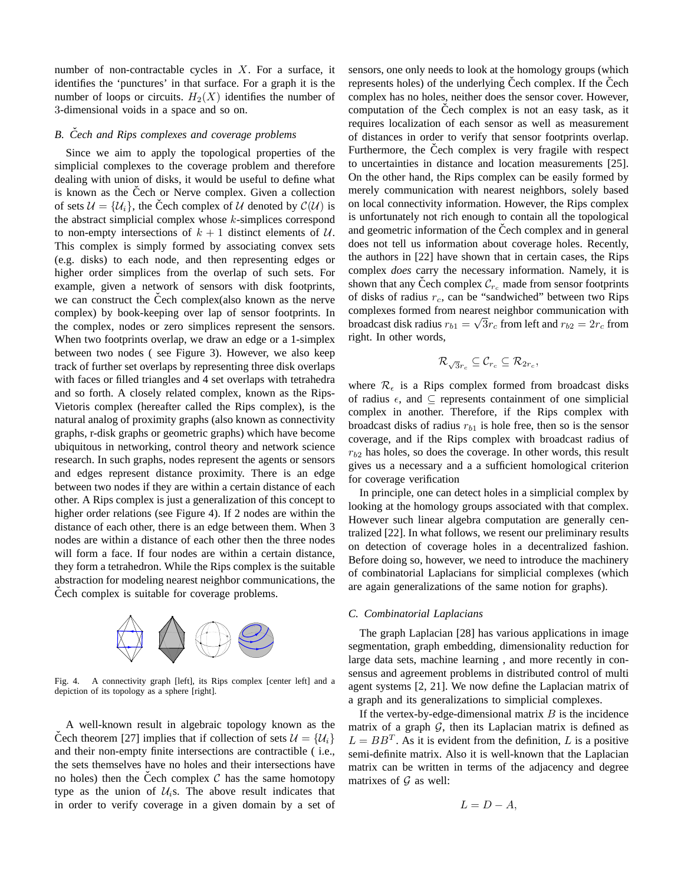number of non-contractable cycles in  $X$ . For a surface, it identifies the 'punctures' in that surface. For a graph it is the number of loops or circuits.  $H_2(X)$  identifies the number of 3-dimensional voids in a space and so on.

## *B. Cech and Rips complexes and coverage problems ˇ*

Since we aim to apply the topological properties of the simplicial complexes to the coverage problem and therefore dealing with union of disks, it would be useful to define what is known as the Čech or Nerve complex. Given a collection of sets  $\mathcal{U} = \{U_i\}$ , the Cech complex of U denoted by  $\mathcal{C}(\mathcal{U})$  is the abstract simplicial complex whose  $k$ -simplices correspond to non-empty intersections of  $k + 1$  distinct elements of U. This complex is simply formed by associating convex sets (e.g. disks) to each node, and then representing edges or higher order simplices from the overlap of such sets. For example, given a network of sensors with disk footprints, we can construct the Čech complex(also known as the nerve complex) by book-keeping over lap of sensor footprints. In the complex, nodes or zero simplices represent the sensors. When two footprints overlap, we draw an edge or a 1-simplex between two nodes ( see Figure 3). However, we also keep track of further set overlaps by representing three disk overlaps with faces or filled triangles and 4 set overlaps with tetrahedra and so forth. A closely related complex, known as the Rips-Vietoris complex (hereafter called the Rips complex), is the natural analog of proximity graphs (also known as connectivity graphs, r-disk graphs or geometric graphs) which have become ubiquitous in networking, control theory and network science research. In such graphs, nodes represent the agents or sensors and edges represent distance proximity. There is an edge between two nodes if they are within a certain distance of each other. A Rips complex is just a generalization of this concept to higher order relations (see Figure 4). If 2 nodes are within the distance of each other, there is an edge between them. When 3 nodes are within a distance of each other then the three nodes will form a face. If four nodes are within a certain distance, they form a tetrahedron. While the Rips complex is the suitable abstraction for modeling nearest neighbor communications, the Cech complex is suitable for coverage problems.



Fig. 4. A connectivity graph [left], its Rips complex [center left] and a depiction of its topology as a sphere [right].

A well-known result in algebraic topology known as the Cech theorem [27] implies that if collection of sets  $\mathcal{U} = {\mathcal{U}_i}$ and their non-empty finite intersections are contractible ( i.e., the sets themselves have no holes and their intersections have no holes) then the Čech complex  $\mathcal C$  has the same homotopy type as the union of  $U_i$ s. The above result indicates that in order to verify coverage in a given domain by a set of sensors, one only needs to look at the homology groups (which represents holes) of the underlying Čech complex. If the Čech complex has no holes, neither does the sensor cover. However, computation of the Cech complex is not an easy task, as it requires localization of each sensor as well as measurement of distances in order to verify that sensor footprints overlap. Furthermore, the Cech complex is very fragile with respect to uncertainties in distance and location measurements [25]. On the other hand, the Rips complex can be easily formed by merely communication with nearest neighbors, solely based on local connectivity information. However, the Rips complex is unfortunately not rich enough to contain all the topological and geometric information of the Cech complex and in general does not tell us information about coverage holes. Recently, the authors in [22] have shown that in certain cases, the Rips complex *does* carry the necessary information. Namely, it is shown that any Čech complex  $\mathcal{C}_{r_c}$  made from sensor footprints of disks of radius  $r_c$ , can be "sandwiched" between two Rips complexes formed from nearest neighbor communication with broadcast disk radius  $r_{b1} = \sqrt{3}r_c$  from left and  $r_{b2} = 2r_c$  from right. In other words,

$$
\mathcal{R}_{\sqrt{3}r_c}\subseteq\mathcal{C}_{r_c}\subseteq\mathcal{R}_{2r_c},
$$

where  $\mathcal{R}_{\epsilon}$  is a Rips complex formed from broadcast disks of radius  $\epsilon$ , and  $\subseteq$  represents containment of one simplicial complex in another. Therefore, if the Rips complex with broadcast disks of radius  $r_{b1}$  is hole free, then so is the sensor coverage, and if the Rips complex with broadcast radius of  $r_{b2}$  has holes, so does the coverage. In other words, this result gives us a necessary and a a sufficient homological criterion for coverage verification

In principle, one can detect holes in a simplicial complex by looking at the homology groups associated with that complex. However such linear algebra computation are generally centralized [22]. In what follows, we resent our preliminary results on detection of coverage holes in a decentralized fashion. Before doing so, however, we need to introduce the machinery of combinatorial Laplacians for simplicial complexes (which are again generalizations of the same notion for graphs).

## *C. Combinatorial Laplacians*

The graph Laplacian [28] has various applications in image segmentation, graph embedding, dimensionality reduction for large data sets, machine learning , and more recently in consensus and agreement problems in distributed control of multi agent systems [2, 21]. We now define the Laplacian matrix of a graph and its generalizations to simplicial complexes.

If the vertex-by-edge-dimensional matrix  $B$  is the incidence matrix of a graph  $G$ , then its Laplacian matrix is defined as  $L = BB<sup>T</sup>$ . As it is evident from the definition, L is a positive semi-definite matrix. Also it is well-known that the Laplacian matrix can be written in terms of the adjacency and degree matrixes of  $G$  as well:

$$
L = D - A,
$$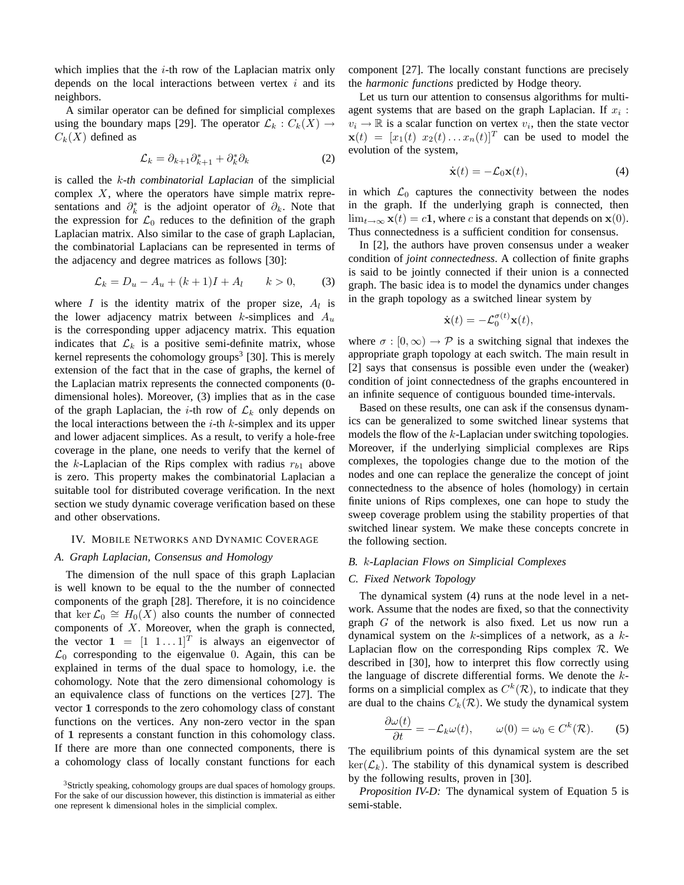which implies that the  $i$ -th row of the Laplacian matrix only depends on the local interactions between vertex  $i$  and its neighbors.

A similar operator can be defined for simplicial complexes using the boundary maps [29]. The operator  $\mathcal{L}_k : C_k(X) \to$  $C_k(X)$  defined as

$$
\mathcal{L}_k = \partial_{k+1} \partial_{k+1}^* + \partial_k^* \partial_k \tag{2}
$$

is called the k*-th combinatorial Laplacian* of the simplicial complex  $X$ , where the operators have simple matrix representations and  $\partial_k^*$  is the adjoint operator of  $\partial_k$ . Note that the expression for  $\mathcal{L}_0$  reduces to the definition of the graph Laplacian matrix. Also similar to the case of graph Laplacian, the combinatorial Laplacians can be represented in terms of the adjacency and degree matrices as follows [30]:

$$
\mathcal{L}_k = D_u - A_u + (k+1)I + A_l \qquad k > 0,
$$
 (3)

where  $I$  is the identity matrix of the proper size,  $A_l$  is the lower adjacency matrix between k-simplices and  $A_u$ is the corresponding upper adjacency matrix. This equation indicates that  $\mathcal{L}_k$  is a positive semi-definite matrix, whose kernel represents the cohomology groups<sup>3</sup> [30]. This is merely extension of the fact that in the case of graphs, the kernel of the Laplacian matrix represents the connected components (0 dimensional holes). Moreover, (3) implies that as in the case of the graph Laplacian, the *i*-th row of  $\mathcal{L}_k$  only depends on the local interactions between the  $i$ -th  $k$ -simplex and its upper and lower adjacent simplices. As a result, to verify a hole-free coverage in the plane, one needs to verify that the kernel of the k-Laplacian of the Rips complex with radius  $r_{b1}$  above is zero. This property makes the combinatorial Laplacian a suitable tool for distributed coverage verification. In the next section we study dynamic coverage verification based on these and other observations.

## IV. MOBILE NETWORKS AND DYNAMIC COVERAGE

#### *A. Graph Laplacian, Consensus and Homology*

The dimension of the null space of this graph Laplacian is well known to be equal to the the number of connected components of the graph [28]. Therefore, it is no coincidence that ker  $\mathcal{L}_0 \cong H_0(X)$  also counts the number of connected components of  $X$ . Moreover, when the graph is connected, the vector  $\mathbf{1} = [1 \ 1 \dots 1]^T$  is always an eigenvector of  $\mathcal{L}_0$  corresponding to the eigenvalue 0. Again, this can be explained in terms of the dual space to homology, i.e. the cohomology. Note that the zero dimensional cohomology is an equivalence class of functions on the vertices [27]. The vector 1 corresponds to the zero cohomology class of constant functions on the vertices. Any non-zero vector in the span of 1 represents a constant function in this cohomology class. If there are more than one connected components, there is a cohomology class of locally constant functions for each component [27]. The locally constant functions are precisely the *harmonic functions* predicted by Hodge theory.

Let us turn our attention to consensus algorithms for multiagent systems that are based on the graph Laplacian. If  $x_i$ :  $v_i \rightarrow \mathbb{R}$  is a scalar function on vertex  $v_i$ , then the state vector  $\mathbf{x}(t) = [x_1(t) \ x_2(t) \dots x_n(t)]^T$  can be used to model the evolution of the system,

$$
\dot{\mathbf{x}}(t) = -\mathcal{L}_0 \mathbf{x}(t),\tag{4}
$$

in which  $\mathcal{L}_0$  captures the connectivity between the nodes in the graph. If the underlying graph is connected, then  $\lim_{t\to\infty}$  **x**(t) = c**1**, where c is a constant that depends on **x**(0). Thus connectedness is a sufficient condition for consensus.

In [2], the authors have proven consensus under a weaker condition of *joint connectedness*. A collection of finite graphs is said to be jointly connected if their union is a connected graph. The basic idea is to model the dynamics under changes in the graph topology as a switched linear system by

$$
\dot{\mathbf{x}}(t) = -\mathcal{L}_0^{\sigma(t)} \mathbf{x}(t),
$$

where  $\sigma : [0, \infty) \to \mathcal{P}$  is a switching signal that indexes the appropriate graph topology at each switch. The main result in [2] says that consensus is possible even under the (weaker) condition of joint connectedness of the graphs encountered in an infinite sequence of contiguous bounded time-intervals.

Based on these results, one can ask if the consensus dynamics can be generalized to some switched linear systems that models the flow of the k-Laplacian under switching topologies. Moreover, if the underlying simplicial complexes are Rips complexes, the topologies change due to the motion of the nodes and one can replace the generalize the concept of joint connectedness to the absence of holes (homology) in certain finite unions of Rips complexes, one can hope to study the sweep coverage problem using the stability properties of that switched linear system. We make these concepts concrete in the following section.

## *B.* k*-Laplacian Flows on Simplicial Complexes*

## *C. Fixed Network Topology*

The dynamical system (4) runs at the node level in a network. Assume that the nodes are fixed, so that the connectivity graph G of the network is also fixed. Let us now run a dynamical system on the k-simplices of a network, as a  $k$ -Laplacian flow on the corresponding Rips complex  $\mathcal{R}$ . We described in [30], how to interpret this flow correctly using the language of discrete differential forms. We denote the  $k$ forms on a simplicial complex as  $C^k(\mathcal{R})$ , to indicate that they are dual to the chains  $C_k(\mathcal{R})$ . We study the dynamical system

$$
\frac{\partial \omega(t)}{\partial t} = -\mathcal{L}_k \omega(t), \qquad \omega(0) = \omega_0 \in C^k(\mathcal{R}). \tag{5}
$$

The equilibrium points of this dynamical system are the set  $\ker(\mathcal{L}_k)$ . The stability of this dynamical system is described by the following results, proven in [30].

*Proposition IV-D:* The dynamical system of Equation 5 is semi-stable.

<sup>&</sup>lt;sup>3</sup>Strictly speaking, cohomology groups are dual spaces of homology groups. For the sake of our discussion however, this distinction is immaterial as either one represent k dimensional holes in the simplicial complex.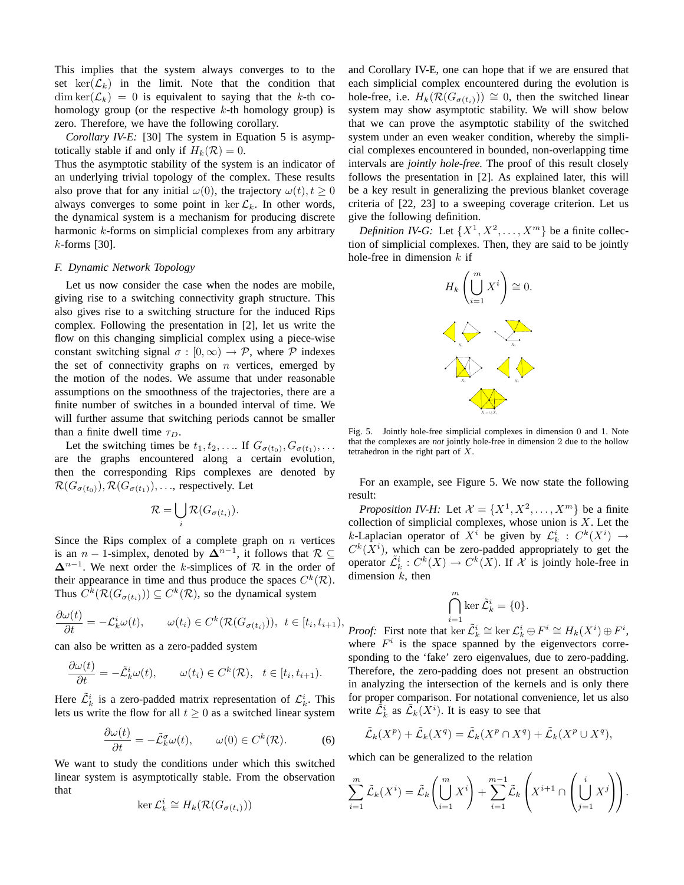This implies that the system always converges to to the set  $\ker(\mathcal{L}_k)$  in the limit. Note that the condition that  $\dim \ker(\mathcal{L}_k) = 0$  is equivalent to saying that the k-th cohomology group (or the respective  $k$ -th homology group) is zero. Therefore, we have the following corollary.

*Corollary IV-E:* [30] The system in Equation 5 is asymptotically stable if and only if  $H_k(\mathcal{R}) = 0$ .

Thus the asymptotic stability of the system is an indicator of an underlying trivial topology of the complex. These results also prove that for any initial  $\omega(0)$ , the trajectory  $\omega(t)$ ,  $t \geq 0$ always converges to some point in  $\ker \mathcal{L}_k$ . In other words, the dynamical system is a mechanism for producing discrete harmonic k-forms on simplicial complexes from any arbitrary  $k$ -forms [30].

#### *F. Dynamic Network Topology*

Let us now consider the case when the nodes are mobile, giving rise to a switching connectivity graph structure. This also gives rise to a switching structure for the induced Rips complex. Following the presentation in [2], let us write the flow on this changing simplicial complex using a piece-wise constant switching signal  $\sigma : [0, \infty) \to \mathcal{P}$ , where  $\mathcal P$  indexes the set of connectivity graphs on  $n$  vertices, emerged by the motion of the nodes. We assume that under reasonable assumptions on the smoothness of the trajectories, there are a finite number of switches in a bounded interval of time. We will further assume that switching periods cannot be smaller than a finite dwell time  $\tau_D$ .

Let the switching times be  $t_1, t_2, \ldots$  If  $G_{\sigma(t_0)}, G_{\sigma(t_1)}, \ldots$ are the graphs encountered along a certain evolution, then the corresponding Rips complexes are denoted by  $\mathcal{R}(G_{\sigma(t_0)}), \mathcal{R}(G_{\sigma(t_1)}), \ldots$ , respectively. Let

$$
\mathcal{R} = \bigcup_i \mathcal{R}(G_{\sigma(t_i)}).
$$

Since the Rips complex of a complete graph on  $n$  vertices is an  $n-1$ -simplex, denoted by  $\Delta^{n-1}$ , it follows that  $\mathcal{R} \subseteq$  $\Delta^{n-1}$ . We next order the k-simplices of R in the order of their appearance in time and thus produce the spaces  $C^k(\mathcal{R})$ . Thus  $C^k(\mathcal{R}(G_{\sigma(t_i)})) \subseteq C^k(\mathcal{R})$ , so the dynamical system

$$
\frac{\partial \omega(t)}{\partial t} = -\mathcal{L}_k^i \omega(t), \qquad \omega(t_i) \in C^k(\mathcal{R}(G_{\sigma(t_i)})), \ t \in [t_i, t_{i+1}),
$$

can also be written as a zero-padded system

$$
\frac{\partial \omega(t)}{\partial t} = -\tilde{\mathcal{L}}_k^i \omega(t), \qquad \omega(t_i) \in C^k(\mathcal{R}), \quad t \in [t_i, t_{i+1}).
$$

Here  $\tilde{\mathcal{L}}_k^i$  is a zero-padded matrix representation of  $\mathcal{L}_k^i$ . This lets us write the flow for all  $t \geq 0$  as a switched linear system

$$
\frac{\partial \omega(t)}{\partial t} = -\tilde{\mathcal{L}}_k^{\sigma} \omega(t), \qquad \omega(0) \in C^k(\mathcal{R}). \tag{6}
$$

We want to study the conditions under which this switched linear system is asymptotically stable. From the observation that

$$
\ker \mathcal{L}_k^i \cong H_k(\mathcal{R}(G_{\sigma(t_i)}))
$$

and Corollary IV-E, one can hope that if we are ensured that each simplicial complex encountered during the evolution is hole-free, i.e.  $H_k(\mathcal{R}(G_{\sigma(t_i)})) \cong 0$ , then the switched linear system may show asymptotic stability. We will show below that we can prove the asymptotic stability of the switched system under an even weaker condition, whereby the simplicial complexes encountered in bounded, non-overlapping time intervals are *jointly hole-free.* The proof of this result closely follows the presentation in [2]. As explained later, this will be a key result in generalizing the previous blanket coverage criteria of [22, 23] to a sweeping coverage criterion. Let us give the following definition.

*Definition IV-G:* Let  $\{X^1, X^2, \ldots, X^m\}$  be a finite collection of simplicial complexes. Then, they are said to be jointly hole-free in dimension  $k$  if



Fig. 5. Jointly hole-free simplicial complexes in dimension 0 and 1. Note that the complexes are *not* jointly hole-free in dimension 2 due to the hollow tetrahedron in the right part of  $X$ .

For an example, see Figure 5. We now state the following result:

*Proposition IV-H:* Let  $\mathcal{X} = \{X^1, X^2, \dots, X^m\}$  be a finite collection of simplicial complexes, whose union is  $X$ . Let the *k*-Laplacian operator of  $X^i$  be given by  $\mathcal{L}_k^i : C^k(X^i) \rightarrow$  $C<sup>k</sup>(X<sup>i</sup>)$ , which can be zero-padded appropriately to get the operator  $\tilde{\mathcal{L}}_k^i : C^k(X) \to C^k(X)$ . If  $\mathcal X$  is jointly hole-free in dimension  $k$ , then

$$
\bigcap_{i=1}^m \ker \tilde{\mathcal{L}}_k^i = \{0\}.
$$

*Proof:* First note that  $\ker \tilde{\mathcal{L}}_k^i \cong \ker \mathcal{L}_k^i \oplus F^i \cong H_k(X^i) \oplus F^i$ , where  $F^i$  is the space spanned by the eigenvectors corresponding to the 'fake' zero eigenvalues, due to zero-padding. Therefore, the zero-padding does not present an obstruction in analyzing the intersection of the kernels and is only there for proper comparison. For notational convenience, let us also write  $\mathcal{\tilde L}^i_k$  as  $\mathcal{\tilde L}_k(X^i)$ . It is easy to see that

$$
\tilde{\mathcal{L}}_k(X^p) + \tilde{\mathcal{L}}_k(X^q) = \tilde{\mathcal{L}}_k(X^p \cap X^q) + \tilde{\mathcal{L}}_k(X^p \cup X^q),
$$

which can be generalized to the relation

$$
\sum_{i=1}^{m} \tilde{\mathcal{L}}_k(X^i) = \tilde{\mathcal{L}}_k\left(\bigcup_{i=1}^{m} X^i\right) + \sum_{i=1}^{m-1} \tilde{\mathcal{L}}_k\left(X^{i+1} \cap \left(\bigcup_{j=1}^{i} X^j\right)\right).
$$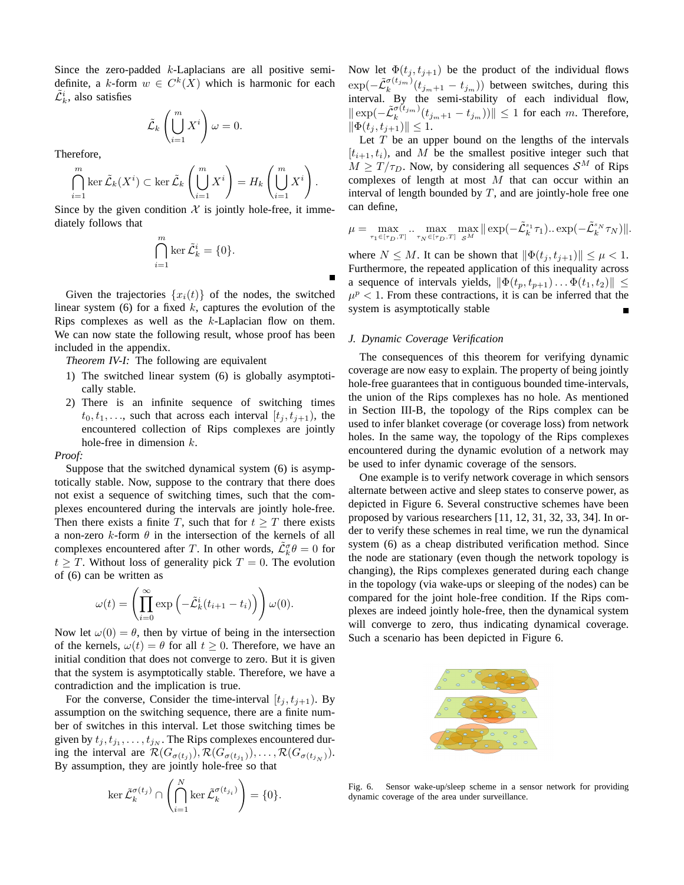Since the zero-padded  $k$ -Laplacians are all positive semidefinite, a k-form  $w \in C^k(X)$  which is harmonic for each  $\tilde{\mathcal{L}}_k^i$ , also satisfies

$$
\tilde{\mathcal{L}}_k \left( \bigcup_{i=1}^m X^i \right) \omega = 0.
$$

Therefore,

$$
\bigcap_{i=1}^{m} \ker \tilde{\mathcal{L}}_k(X^i) \subset \ker \tilde{\mathcal{L}}_k\left(\bigcup_{i=1}^{m} X^i\right) = H_k\left(\bigcup_{i=1}^{m} X^i\right).
$$

Since by the given condition  $X$  is jointly hole-free, it immediately follows that

$$
\bigcap_{i=1}^{m} \ker \tilde{\mathcal{L}}_k^i = \{0\}.
$$

Given the trajectories  $\{x_i(t)\}\$  of the nodes, the switched linear system  $(6)$  for a fixed k, captures the evolution of the Rips complexes as well as the  $k$ -Laplacian flow on them. We can now state the following result, whose proof has been included in the appendix.

*Theorem IV-I:* The following are equivalent

- 1) The switched linear system (6) is globally asymptotically stable.
- 2) There is an infinite sequence of switching times  $t_0, t_1, \ldots$ , such that across each interval  $[t_i, t_{i+1})$ , the encountered collection of Rips complexes are jointly hole-free in dimension  $k$ .

## *Proof:*

Suppose that the switched dynamical system (6) is asymptotically stable. Now, suppose to the contrary that there does not exist a sequence of switching times, such that the complexes encountered during the intervals are jointly hole-free. Then there exists a finite T, such that for  $t \geq T$  there exists a non-zero k-form  $\theta$  in the intersection of the kernels of all complexes encountered after T. In other words,  $\tilde{\mathcal{L}}_{k}^{\sigma} \theta = 0$  for  $t \geq T$ . Without loss of generality pick  $T = 0$ . The evolution of (6) can be written as

$$
\omega(t) = \left(\prod_{i=0}^{\infty} \exp\left(-\tilde{\mathcal{L}}_k^i(t_{i+1} - t_i)\right)\right) \omega(0).
$$

Now let  $\omega(0) = \theta$ , then by virtue of being in the intersection of the kernels,  $\omega(t) = \theta$  for all  $t \geq 0$ . Therefore, we have an initial condition that does not converge to zero. But it is given that the system is asymptotically stable. Therefore, we have a contradiction and the implication is true.

For the converse, Consider the time-interval  $[t_j, t_{j+1})$ . By assumption on the switching sequence, there are a finite number of switches in this interval. Let those switching times be given by  $t_j, t_{j_1}, \ldots, t_{j_N}$ . The Rips complexes encountered during the interval are  $\mathcal{R}(G_{\sigma(t_j)}), \mathcal{R}(G_{\sigma(t_{j_1})}), \dots, \mathcal{R}(G_{\sigma(t_{j_N})}).$ By assumption, they are jointly hole-free so that

$$
\ker \tilde{\mathcal{L}}_k^{\sigma(t_j)} \cap \left( \bigcap_{i=1}^N \ker \tilde{\mathcal{L}}_k^{\sigma(t_{j_i})} \right) = \{0\}.
$$

Now let  $\Phi(t_j, t_{j+1})$  be the product of the individual flows  $\exp(-\tilde{\mathcal{L}}_k^{\sigma(t_{j_m})}(t_{j_m+1}-t_{j_m}))$  between switches, during this interval. By the semi-stability of each individual flow,  $\|\exp(-\tilde{\mathcal{L}}_k^{\sigma(t_{j_m})}(t_{j_m+1}-t_{j_m}))\| \leq 1$  for each m. Therefore,  $\|\Phi(t_j, t_{j+1})\| \leq 1.$ 

Let  $T$  be an upper bound on the lengths of the intervals  $[t_{i+1}, t_i)$ , and M be the smallest positive integer such that  $M \geq T/\tau_D$ . Now, by considering all sequences  $S^M$  of Rips complexes of length at most  $M$  that can occur within an interval of length bounded by  $T$ , and are jointly-hole free one can define,

$$
\mu = \max_{\tau_1 \in [\tau_D, T]} \dots \max_{\tau_N \in [\tau_D, T]} \max_{s^M} \|\exp(-\tilde{\mathcal{L}}_k^{s_1} \tau_1) \dots \exp(-\tilde{\mathcal{L}}_k^{s_N} \tau_N)\|.
$$

where  $N \leq M$ . It can be shown that  $\|\Phi(t_i, t_{i+1})\| \leq \mu < 1$ . Furthermore, the repeated application of this inequality across a sequence of intervals yields,  $\|\Phi(t_p, t_{p+1})\dots\Phi(t_1, t_2)\|\leq$  $\mu^p < 1$ . From these contractions, it is can be inferred that the system is asymptotically stable

## *J. Dynamic Coverage Verification*

The consequences of this theorem for verifying dynamic coverage are now easy to explain. The property of being jointly hole-free guarantees that in contiguous bounded time-intervals, the union of the Rips complexes has no hole. As mentioned in Section III-B, the topology of the Rips complex can be used to infer blanket coverage (or coverage loss) from network holes. In the same way, the topology of the Rips complexes encountered during the dynamic evolution of a network may be used to infer dynamic coverage of the sensors.

One example is to verify network coverage in which sensors alternate between active and sleep states to conserve power, as depicted in Figure 6. Several constructive schemes have been proposed by various researchers [11, 12, 31, 32, 33, 34]. In order to verify these schemes in real time, we run the dynamical system (6) as a cheap distributed verification method. Since the node are stationary (even though the network topology is changing), the Rips complexes generated during each change in the topology (via wake-ups or sleeping of the nodes) can be compared for the joint hole-free condition. If the Rips complexes are indeed jointly hole-free, then the dynamical system will converge to zero, thus indicating dynamical coverage. Such a scenario has been depicted in Figure 6.



Fig. 6. Sensor wake-up/sleep scheme in a sensor network for providing dynamic coverage of the area under surveillance.